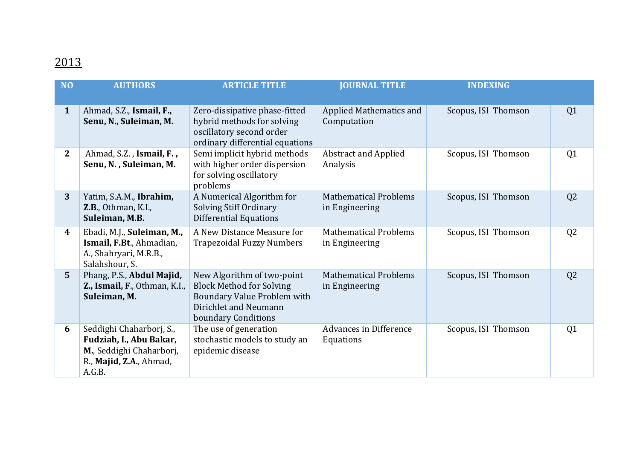## 2013

| N <sub>O</sub>   | <b>AUTHORS</b>                                                                                                       | <b>ARTICLE TITLE</b>                                                                                                                         | <b>JOURNAL TITLE</b>                           | <b>INDEXING</b>     |                |
|------------------|----------------------------------------------------------------------------------------------------------------------|----------------------------------------------------------------------------------------------------------------------------------------------|------------------------------------------------|---------------------|----------------|
| $\mathbf{1}$     | Ahmad, S.Z., Ismail, F.,<br>Senu, N., Suleiman, M.                                                                   | Zero-dissipative phase-fitted<br>hybrid methods for solving<br>oscillatory second order<br>ordinary differential equations                   | Applied Mathematics and<br>Computation         | Scopus, ISI Thomson | Q1             |
| $\mathbf{2}$     | Ahmad, S.Z., Ismail, F.,<br>Senu, N., Suleiman, M.                                                                   | Semi implicit hybrid methods<br>with higher order dispersion<br>for solving oscillatory<br>problems                                          | <b>Abstract and Applied</b><br>Analysis        | Scopus, ISI Thomson | Q <sub>1</sub> |
| $\overline{3}$   | Yatim, S.A.M., Ibrahim,<br><b>Z.B., Othman, K.I.,</b><br>Suleiman, M.B.                                              | A Numerical Algorithm for<br>Solving Stiff Ordinary<br><b>Differential Equations</b>                                                         | <b>Mathematical Problems</b><br>in Engineering | Scopus, ISI Thomson | Q <sub>2</sub> |
| $\boldsymbol{4}$ | Ebadi, M.J., Suleiman, M.,<br>Ismail, F.Bt., Ahmadian,<br>A., Shahryari, M.R.B.,<br>Salahshour, S.                   | A New Distance Measure for<br><b>Trapezoidal Fuzzy Numbers</b>                                                                               | <b>Mathematical Problems</b><br>in Engineering | Scopus, ISI Thomson | Q <sub>2</sub> |
| 5                | Phang, P.S., Abdul Majid,<br>Z., Ismail, F., Othman, K.I.,<br>Suleiman, M.                                           | New Algorithm of two-point<br><b>Block Method for Solving</b><br>Boundary Value Problem with<br>Dirichlet and Neumann<br>boundary Conditions | <b>Mathematical Problems</b><br>in Engineering | Scopus, ISI Thomson | Q <sub>2</sub> |
| 6                | Seddighi Chaharborj, S.,<br>Fudziah, I., Abu Bakar,<br>M., Seddighi Chaharborj,<br>R., Majid, Z.A., Ahmad,<br>A.G.B. | The use of generation<br>stochastic models to study an<br>epidemic disease                                                                   | <b>Advances in Difference</b><br>Equations     | Scopus, ISI Thomson | Q <sub>1</sub> |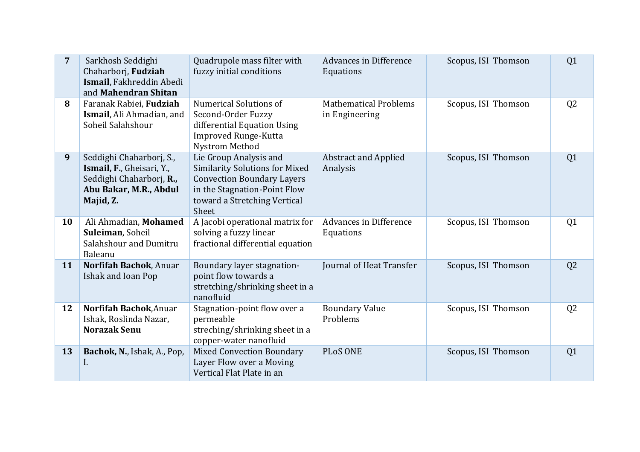| $\overline{7}$ | Sarkhosh Seddighi<br>Chaharborj, Fudziah<br>Ismail, Fakhreddin Abedi<br>and Mahendran Shitan                             | Quadrupole mass filter with<br>fuzzy initial conditions                                                                                                                       | Advances in Difference<br>Equations            | Scopus, ISI Thomson | Q <sub>1</sub> |
|----------------|--------------------------------------------------------------------------------------------------------------------------|-------------------------------------------------------------------------------------------------------------------------------------------------------------------------------|------------------------------------------------|---------------------|----------------|
| 8              | Faranak Rabiei, Fudziah<br>Ismail, Ali Ahmadian, and<br>Soheil Salahshour                                                | Numerical Solutions of<br>Second-Order Fuzzy<br>differential Equation Using<br>Improved Runge-Kutta<br>Nystrom Method                                                         | <b>Mathematical Problems</b><br>in Engineering | Scopus, ISI Thomson | Q <sub>2</sub> |
| 9              | Seddighi Chaharborj, S.,<br>Ismail, F., Gheisari, Y.,<br>Seddighi Chaharborj, R.,<br>Abu Bakar, M.R., Abdul<br>Majid, Z. | Lie Group Analysis and<br><b>Similarity Solutions for Mixed</b><br><b>Convection Boundary Layers</b><br>in the Stagnation-Point Flow<br>toward a Stretching Vertical<br>Sheet | <b>Abstract and Applied</b><br>Analysis        | Scopus, ISI Thomson | Q <sub>1</sub> |
| 10             | Ali Ahmadian, Mohamed<br>Suleiman, Soheil<br>Salahshour and Dumitru<br>Baleanu                                           | A Jacobi operational matrix for<br>solving a fuzzy linear<br>fractional differential equation                                                                                 | Advances in Difference<br>Equations            | Scopus, ISI Thomson | Q <sub>1</sub> |
| 11             | Norfifah Bachok, Anuar<br>Ishak and Ioan Pop                                                                             | Boundary layer stagnation-<br>point flow towards a<br>stretching/shrinking sheet in a<br>nanofluid                                                                            | Journal of Heat Transfer                       | Scopus, ISI Thomson | Q <sub>2</sub> |
| 12             | Norfifah Bachok, Anuar<br>Ishak, Roslinda Nazar,<br><b>Norazak Senu</b>                                                  | Stagnation-point flow over a<br>permeable<br>streching/shrinking sheet in a<br>copper-water nanofluid                                                                         | <b>Boundary Value</b><br>Problems              | Scopus, ISI Thomson | Q <sub>2</sub> |
| 13             | Bachok, N., Ishak, A., Pop,<br>I.                                                                                        | <b>Mixed Convection Boundary</b><br>Layer Flow over a Moving<br>Vertical Flat Plate in an                                                                                     | <b>PLoS ONE</b>                                | Scopus, ISI Thomson | Q <sub>1</sub> |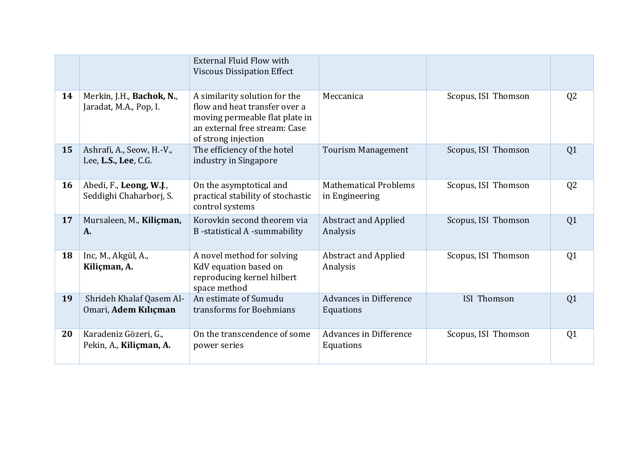|    |                                                     | <b>External Fluid Flow with</b><br><b>Viscous Dissipation Effect</b>                                                                                     |                                                |                     |                |
|----|-----------------------------------------------------|----------------------------------------------------------------------------------------------------------------------------------------------------------|------------------------------------------------|---------------------|----------------|
| 14 | Merkin, J.H., Bachok, N.,<br>Jaradat, M.A., Pop, I. | A similarity solution for the<br>flow and heat transfer over a<br>moving permeable flat plate in<br>an external free stream: Case<br>of strong injection | Meccanica                                      | Scopus, ISI Thomson | Q <sub>2</sub> |
| 15 | Ashrafi, A., Seow, H.-V.,<br>Lee, L.S., Lee, C.G.   | The efficiency of the hotel<br>industry in Singapore                                                                                                     | <b>Tourism Management</b>                      | Scopus, ISI Thomson | Q <sub>1</sub> |
| 16 | Abedi, F., Leong, W.J.,<br>Seddighi Chaharborj, S.  | On the asymptotical and<br>practical stability of stochastic<br>control systems                                                                          | <b>Mathematical Problems</b><br>in Engineering | Scopus, ISI Thomson | Q <sub>2</sub> |
| 17 | Mursaleen, M., Kiliçman,<br>A.                      | Korovkin second theorem via<br><b>B</b> -statistical A-summability                                                                                       | <b>Abstract and Applied</b><br>Analysis        | Scopus, ISI Thomson | Q1             |
| 18 | Inc, M., Akgül, A.,<br>Kiliçman, A.                 | A novel method for solving<br>KdV equation based on<br>reproducing kernel hilbert<br>space method                                                        | <b>Abstract and Applied</b><br>Analysis        | Scopus, ISI Thomson | Q1             |
| 19 | Shrideh Khalaf Qasem Al-<br>Omari, Adem Kılıçman    | An estimate of Sumudu<br>transforms for Boehmians                                                                                                        | <b>Advances in Difference</b><br>Equations     | <b>ISI Thomson</b>  | Q <sub>1</sub> |
| 20 | Karadeniz Gözeri, G.,<br>Pekin, A., Kiliçman, A.    | On the transcendence of some<br>power series                                                                                                             | <b>Advances in Difference</b><br>Equations     | Scopus, ISI Thomson | Q <sub>1</sub> |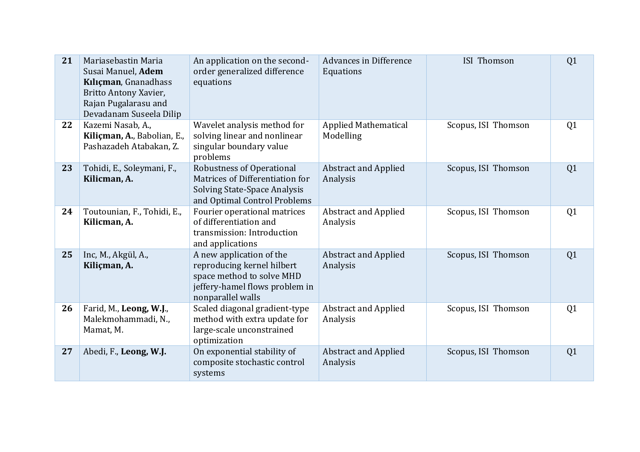| 21 | Mariasebastin Maria<br>Susai Manuel, Adem<br>Kılıçman, Gnanadhass<br>Britto Antony Xavier,<br>Rajan Pugalarasu and<br>Devadanam Suseela Dilip | An application on the second-<br>order generalized difference<br>equations                                                                 | Advances in Difference<br>Equations      | <b>ISI Thomson</b>  | Q1             |
|----|-----------------------------------------------------------------------------------------------------------------------------------------------|--------------------------------------------------------------------------------------------------------------------------------------------|------------------------------------------|---------------------|----------------|
| 22 | Kazemi Nasab, A.,<br>Kiliçman, A., Babolian, E.,<br>Pashazadeh Atabakan, Z.                                                                   | Wavelet analysis method for<br>solving linear and nonlinear<br>singular boundary value<br>problems                                         | <b>Applied Mathematical</b><br>Modelling | Scopus, ISI Thomson | Q1             |
| 23 | Tohidi, E., Soleymani, F.,<br>Kilicman, A.                                                                                                    | <b>Robustness of Operational</b><br>Matrices of Differentiation for<br>Solving State-Space Analysis<br>and Optimal Control Problems        | <b>Abstract and Applied</b><br>Analysis  | Scopus, ISI Thomson | Q1             |
| 24 | Toutounian, F., Tohidi, E.,<br>Kilicman, A.                                                                                                   | Fourier operational matrices<br>of differentiation and<br>transmission: Introduction<br>and applications                                   | <b>Abstract and Applied</b><br>Analysis  | Scopus, ISI Thomson | Q1             |
| 25 | Inc, M., Akgül, A.,<br>Kiliçman, A.                                                                                                           | A new application of the<br>reproducing kernel hilbert<br>space method to solve MHD<br>jeffery-hamel flows problem in<br>nonparallel walls | <b>Abstract and Applied</b><br>Analysis  | Scopus, ISI Thomson | Q1             |
| 26 | Farid, M., Leong, W.J.,<br>Malekmohammadi, N.,<br>Mamat, M.                                                                                   | Scaled diagonal gradient-type<br>method with extra update for<br>large-scale unconstrained<br>optimization                                 | <b>Abstract and Applied</b><br>Analysis  | Scopus, ISI Thomson | Q <sub>1</sub> |
| 27 | Abedi, F., Leong, W.J.                                                                                                                        | On exponential stability of<br>composite stochastic control<br>systems                                                                     | <b>Abstract and Applied</b><br>Analysis  | Scopus, ISI Thomson | Q1             |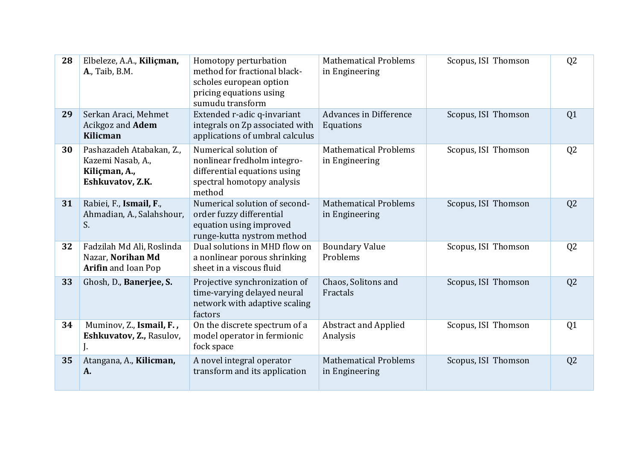| 28 | Elbeleze, A.A., Kiliçman,<br><b>A., Taib, B.M.</b>                                 | Homotopy perturbation<br>method for fractional black-<br>scholes european option<br>pricing equations using<br>sumudu transform | <b>Mathematical Problems</b><br>in Engineering | Scopus, ISI Thomson | Q <sub>2</sub> |
|----|------------------------------------------------------------------------------------|---------------------------------------------------------------------------------------------------------------------------------|------------------------------------------------|---------------------|----------------|
| 29 | Serkan Araci, Mehmet<br>Acikgoz and Adem<br>Kilicman                               | Extended r-adic q-invariant<br>integrals on Zp associated with<br>applications of umbral calculus                               | Advances in Difference<br>Equations            | Scopus, ISI Thomson | Q <sub>1</sub> |
| 30 | Pashazadeh Atabakan, Z.,<br>Kazemi Nasab, A.,<br>Kiliçman, A.,<br>Eshkuvatov, Z.K. | Numerical solution of<br>nonlinear fredholm integro-<br>differential equations using<br>spectral homotopy analysis<br>method    | <b>Mathematical Problems</b><br>in Engineering | Scopus, ISI Thomson | Q <sub>2</sub> |
| 31 | Rabiei, F., Ismail, F.,<br>Ahmadian, A., Salahshour,<br>S.                         | Numerical solution of second-<br>order fuzzy differential<br>equation using improved<br>runge-kutta nystrom method              | <b>Mathematical Problems</b><br>in Engineering | Scopus, ISI Thomson | Q <sub>2</sub> |
| 32 | Fadzilah Md Ali, Roslinda<br>Nazar, Norihan Md<br>Arifin and Ioan Pop              | Dual solutions in MHD flow on<br>a nonlinear porous shrinking<br>sheet in a viscous fluid                                       | <b>Boundary Value</b><br>Problems              | Scopus, ISI Thomson | Q <sub>2</sub> |
| 33 | Ghosh, D., Banerjee, S.                                                            | Projective synchronization of<br>time-varying delayed neural<br>network with adaptive scaling<br>factors                        | Chaos, Solitons and<br>Fractals                | Scopus, ISI Thomson | Q <sub>2</sub> |
| 34 | Muminov, Z., Ismail, F.,<br>Eshkuvatov, Z., Rasulov,<br>J.                         | On the discrete spectrum of a<br>model operator in fermionic<br>fock space                                                      | <b>Abstract and Applied</b><br>Analysis        | Scopus, ISI Thomson | Q <sub>1</sub> |
| 35 | Atangana, A., Kilicman,<br>A.                                                      | A novel integral operator<br>transform and its application                                                                      | <b>Mathematical Problems</b><br>in Engineering | Scopus, ISI Thomson | Q <sub>2</sub> |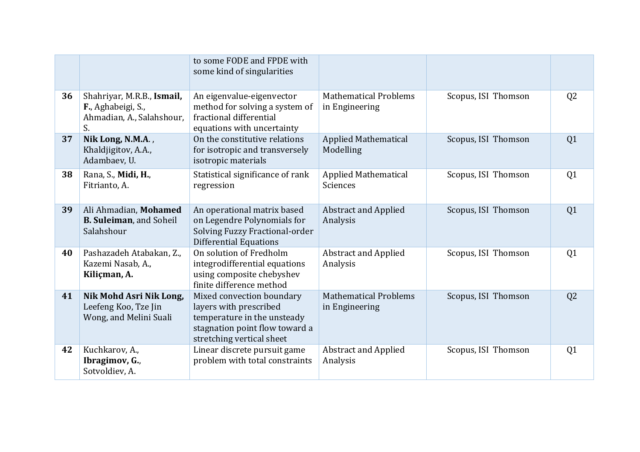|    |                                                                                     | to some FODE and FPDE with<br>some kind of singularities                                                                                          |                                                |                     |                |
|----|-------------------------------------------------------------------------------------|---------------------------------------------------------------------------------------------------------------------------------------------------|------------------------------------------------|---------------------|----------------|
| 36 | Shahriyar, M.R.B., Ismail,<br>F., Aghabeigi, S.,<br>Ahmadian, A., Salahshour,<br>S. | An eigenvalue-eigenvector<br>method for solving a system of<br>fractional differential<br>equations with uncertainty                              | <b>Mathematical Problems</b><br>in Engineering | Scopus, ISI Thomson | Q <sub>2</sub> |
| 37 | Nik Long, N.M.A.,<br>Khaldjigitov, A.A.,<br>Adambaev, U.                            | On the constitutive relations<br>for isotropic and transversely<br>isotropic materials                                                            | <b>Applied Mathematical</b><br>Modelling       | Scopus, ISI Thomson | Q1             |
| 38 | Rana, S., Midi, H.,<br>Fitrianto, A.                                                | Statistical significance of rank<br>regression                                                                                                    | <b>Applied Mathematical</b><br>Sciences        | Scopus, ISI Thomson | Q <sub>1</sub> |
| 39 | Ali Ahmadian, Mohamed<br><b>B. Suleiman, and Soheil</b><br>Salahshour               | An operational matrix based<br>on Legendre Polynomials for<br>Solving Fuzzy Fractional-order<br><b>Differential Equations</b>                     | <b>Abstract and Applied</b><br>Analysis        | Scopus, ISI Thomson | Q <sub>1</sub> |
| 40 | Pashazadeh Atabakan, Z.,<br>Kazemi Nasab, A.,<br>Kiliçman, A.                       | On solution of Fredholm<br>integrodifferential equations<br>using composite chebyshev<br>finite difference method                                 | <b>Abstract and Applied</b><br>Analysis        | Scopus, ISI Thomson | Q <sub>1</sub> |
| 41 | Nik Mohd Asri Nik Long,<br>Leefeng Koo, Tze Jin<br>Wong, and Melini Suali           | Mixed convection boundary<br>layers with prescribed<br>temperature in the unsteady<br>stagnation point flow toward a<br>stretching vertical sheet | <b>Mathematical Problems</b><br>in Engineering | Scopus, ISI Thomson | Q <sub>2</sub> |
| 42 | Kuchkarov, A.,<br>Ibragimov, G.,<br>Sotvoldiev, A.                                  | Linear discrete pursuit game<br>problem with total constraints                                                                                    | <b>Abstract and Applied</b><br>Analysis        | Scopus, ISI Thomson | Q <sub>1</sub> |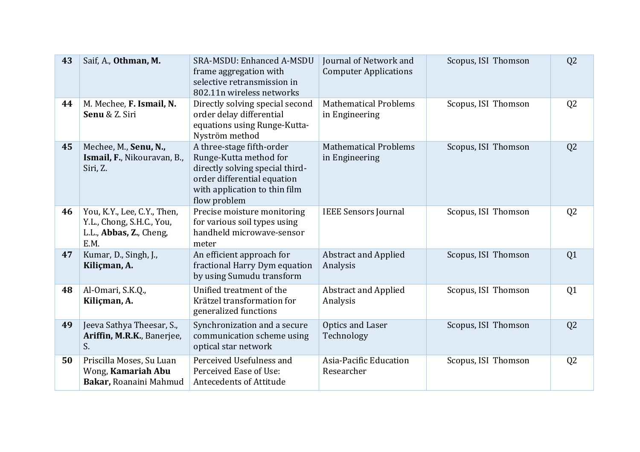| 43 | Saif, A., Othman, M.                                                                        | <b>SRA-MSDU: Enhanced A-MSDU</b><br>frame aggregation with<br>selective retransmission in<br>802.11n wireless networks                                                 | Journal of Network and<br><b>Computer Applications</b> | Scopus, ISI Thomson | Q <sub>2</sub> |
|----|---------------------------------------------------------------------------------------------|------------------------------------------------------------------------------------------------------------------------------------------------------------------------|--------------------------------------------------------|---------------------|----------------|
| 44 | M. Mechee, F. Ismail, N.<br>Senu & Z. Siri                                                  | Directly solving special second<br>order delay differential<br>equations using Runge-Kutta-<br>Nyström method                                                          | <b>Mathematical Problems</b><br>in Engineering         | Scopus, ISI Thomson | Q <sub>2</sub> |
| 45 | Mechee, M., Senu, N.,<br>Ismail, F., Nikouravan, B.,<br>Siri, Z.                            | A three-stage fifth-order<br>Runge-Kutta method for<br>directly solving special third-<br>order differential equation<br>with application to thin film<br>flow problem | <b>Mathematical Problems</b><br>in Engineering         | Scopus, ISI Thomson | Q <sub>2</sub> |
| 46 | You, K.Y., Lee, C.Y., Then,<br>Y.L., Chong, S.H.C., You,<br>L.L., Abbas, Z., Cheng,<br>E.M. | Precise moisture monitoring<br>for various soil types using<br>handheld microwave-sensor<br>meter                                                                      | <b>IEEE Sensors Journal</b>                            | Scopus, ISI Thomson | Q <sub>2</sub> |
| 47 | Kumar, D., Singh, J.,<br>Kiliçman, A.                                                       | An efficient approach for<br>fractional Harry Dym equation<br>by using Sumudu transform                                                                                | <b>Abstract and Applied</b><br>Analysis                | Scopus, ISI Thomson | Q1             |
| 48 | Al-Omari, S.K.Q.,<br>Kiliçman, A.                                                           | Unified treatment of the<br>Krätzel transformation for<br>generalized functions                                                                                        | <b>Abstract and Applied</b><br>Analysis                | Scopus, ISI Thomson | Q1             |
| 49 | Jeeva Sathya Theesar, S.,<br>Ariffin, M.R.K., Banerjee,<br>S.                               | Synchronization and a secure<br>communication scheme using<br>optical star network                                                                                     | Optics and Laser<br>Technology                         | Scopus, ISI Thomson | Q <sub>2</sub> |
| 50 | Priscilla Moses, Su Luan<br>Wong, Kamariah Abu<br>Bakar, Roanaini Mahmud                    | Perceived Usefulness and<br>Perceived Ease of Use:<br><b>Antecedents of Attitude</b>                                                                                   | Asia-Pacific Education<br>Researcher                   | Scopus, ISI Thomson | Q <sub>2</sub> |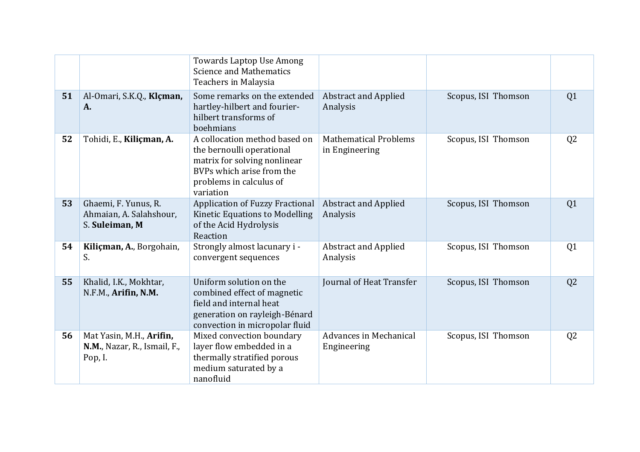|    |                                                                     | Towards Laptop Use Among<br><b>Science and Mathematics</b><br>Teachers in Malaysia                                                                              |                                                |                     |                |
|----|---------------------------------------------------------------------|-----------------------------------------------------------------------------------------------------------------------------------------------------------------|------------------------------------------------|---------------------|----------------|
| 51 | Al-Omari, S.K.Q., Klçman,<br>A.                                     | Some remarks on the extended<br>hartley-hilbert and fourier-<br>hilbert transforms of<br>boehmians                                                              | <b>Abstract and Applied</b><br>Analysis        | Scopus, ISI Thomson | Q <sub>1</sub> |
| 52 | Tohidi, E., Kiliçman, A.                                            | A collocation method based on<br>the bernoulli operational<br>matrix for solving nonlinear<br>BVPs which arise from the<br>problems in calculus of<br>variation | <b>Mathematical Problems</b><br>in Engineering | Scopus, ISI Thomson | Q <sub>2</sub> |
| 53 | Ghaemi, F. Yunus, R.<br>Ahmaian, A. Salahshour,<br>S. Suleiman, M   | <b>Application of Fuzzy Fractional</b><br>Kinetic Equations to Modelling<br>of the Acid Hydrolysis<br>Reaction                                                  | <b>Abstract and Applied</b><br>Analysis        | Scopus, ISI Thomson | Q <sub>1</sub> |
| 54 | Kiliçman, A., Borgohain,<br>S.                                      | Strongly almost lacunary i -<br>convergent sequences                                                                                                            | <b>Abstract and Applied</b><br>Analysis        | Scopus, ISI Thomson | Q <sub>1</sub> |
| 55 | Khalid, I.K., Mokhtar,<br>N.F.M., Arifin, N.M.                      | Uniform solution on the<br>combined effect of magnetic<br>field and internal heat<br>generation on rayleigh-Bénard<br>convection in micropolar fluid            | Journal of Heat Transfer                       | Scopus, ISI Thomson | Q <sub>2</sub> |
| 56 | Mat Yasin, M.H., Arifin,<br>N.M., Nazar, R., Ismail, F.,<br>Pop, I. | Mixed convection boundary<br>layer flow embedded in a<br>thermally stratified porous<br>medium saturated by a<br>nanofluid                                      | Advances in Mechanical<br>Engineering          | Scopus, ISI Thomson | Q <sub>2</sub> |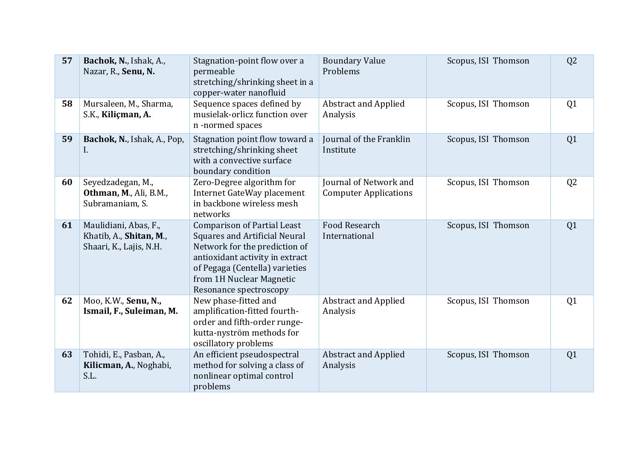| 57 | Bachok, N., Ishak, A.,<br>Nazar, R., Senu, N.                               | Stagnation-point flow over a<br>permeable<br>stretching/shrinking sheet in a<br>copper-water nanofluid                                                                                                                                 | <b>Boundary Value</b><br>Problems                      | Scopus, ISI Thomson | Q <sub>2</sub> |
|----|-----------------------------------------------------------------------------|----------------------------------------------------------------------------------------------------------------------------------------------------------------------------------------------------------------------------------------|--------------------------------------------------------|---------------------|----------------|
| 58 | Mursaleen, M., Sharma,<br>S.K., Kiliçman, A.                                | Sequence spaces defined by<br>musielak-orlicz function over<br>n-normed spaces                                                                                                                                                         | <b>Abstract and Applied</b><br>Analysis                | Scopus, ISI Thomson | Q <sub>1</sub> |
| 59 | Bachok, N., Ishak, A., Pop,<br>I.                                           | Stagnation point flow toward a<br>stretching/shrinking sheet<br>with a convective surface<br>boundary condition                                                                                                                        | Journal of the Franklin<br>Institute                   | Scopus, ISI Thomson | Q <sub>1</sub> |
| 60 | Seyedzadegan, M.,<br>Othman, M., Ali, B.M.,<br>Subramaniam, S.              | Zero-Degree algorithm for<br>Internet GateWay placement<br>in backbone wireless mesh<br>networks                                                                                                                                       | Journal of Network and<br><b>Computer Applications</b> | Scopus, ISI Thomson | Q <sub>2</sub> |
| 61 | Maulidiani, Abas, F.,<br>Khatib, A., Shitan, M.,<br>Shaari, K., Lajis, N.H. | <b>Comparison of Partial Least</b><br><b>Squares and Artificial Neural</b><br>Network for the prediction of<br>antioxidant activity in extract<br>of Pegaga (Centella) varieties<br>from 1H Nuclear Magnetic<br>Resonance spectroscopy | <b>Food Research</b><br>International                  | Scopus, ISI Thomson | Q <sub>1</sub> |
| 62 | Moo, K.W., Senu, N.,<br>Ismail, F., Suleiman, M.                            | New phase-fitted and<br>amplification-fitted fourth-<br>order and fifth-order runge-<br>kutta-nyström methods for<br>oscillatory problems                                                                                              | <b>Abstract and Applied</b><br>Analysis                | Scopus, ISI Thomson | Q <sub>1</sub> |
| 63 | Tohidi, E., Pasban, A.,<br>Kilicman, A., Noghabi,<br>S.L.                   | An efficient pseudospectral<br>method for solving a class of<br>nonlinear optimal control<br>problems                                                                                                                                  | <b>Abstract and Applied</b><br>Analysis                | Scopus, ISI Thomson | Q <sub>1</sub> |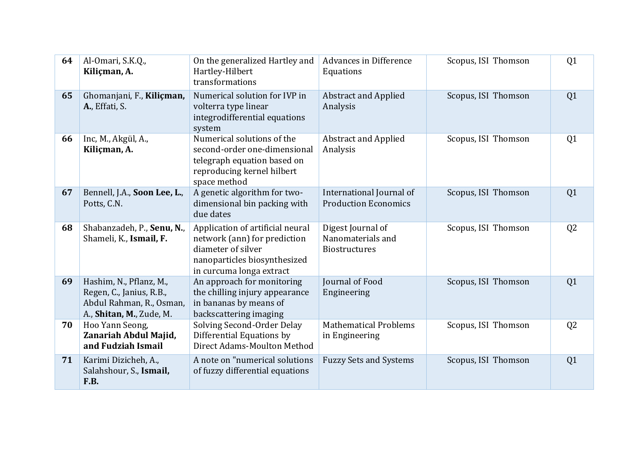| 64 | Al-Omari, S.K.Q.,<br>Kiliçman, A.                                                                           | On the generalized Hartley and<br>Hartley-Hilbert<br>transformations                                                                               | Advances in Difference<br>Equations                            | Scopus, ISI Thomson | Q <sub>1</sub> |
|----|-------------------------------------------------------------------------------------------------------------|----------------------------------------------------------------------------------------------------------------------------------------------------|----------------------------------------------------------------|---------------------|----------------|
| 65 | Ghomanjani, F., Kiliçman,<br>A., Effati, S.                                                                 | Numerical solution for IVP in<br>volterra type linear<br>integrodifferential equations<br>system                                                   | <b>Abstract and Applied</b><br>Analysis                        | Scopus, ISI Thomson | Q1             |
| 66 | Inc, M., Akgül, A.,<br>Kiliçman, A.                                                                         | Numerical solutions of the<br>second-order one-dimensional<br>telegraph equation based on<br>reproducing kernel hilbert<br>space method            | <b>Abstract and Applied</b><br>Analysis                        | Scopus, ISI Thomson | Q <sub>1</sub> |
| 67 | Bennell, J.A., Soon Lee, L.,<br>Potts, C.N.                                                                 | A genetic algorithm for two-<br>dimensional bin packing with<br>due dates                                                                          | International Journal of<br><b>Production Economics</b>        | Scopus, ISI Thomson | Q <sub>1</sub> |
| 68 | Shabanzadeh, P., Senu, N.,<br>Shameli, K., Ismail, F.                                                       | Application of artificial neural<br>network (ann) for prediction<br>diameter of silver<br>nanoparticles biosynthesized<br>in curcuma longa extract | Digest Journal of<br>Nanomaterials and<br><b>Biostructures</b> | Scopus, ISI Thomson | Q <sub>2</sub> |
| 69 | Hashim, N., Pflanz, M.,<br>Regen, C., Janius, R.B.,<br>Abdul Rahman, R., Osman,<br>A., Shitan, M., Zude, M. | An approach for monitoring<br>the chilling injury appearance<br>in bananas by means of<br>backscattering imaging                                   | Journal of Food<br>Engineering                                 | Scopus, ISI Thomson | Q <sub>1</sub> |
| 70 | Hoo Yann Seong,<br>Zanariah Abdul Majid,<br>and Fudziah Ismail                                              | Solving Second-Order Delay<br>Differential Equations by<br>Direct Adams-Moulton Method                                                             | <b>Mathematical Problems</b><br>in Engineering                 | Scopus, ISI Thomson | Q <sub>2</sub> |
| 71 | Karimi Dizicheh, A.,<br>Salahshour, S., Ismail,<br>F.B.                                                     | A note on "numerical solutions<br>of fuzzy differential equations                                                                                  | <b>Fuzzy Sets and Systems</b>                                  | Scopus, ISI Thomson | Q <sub>1</sub> |